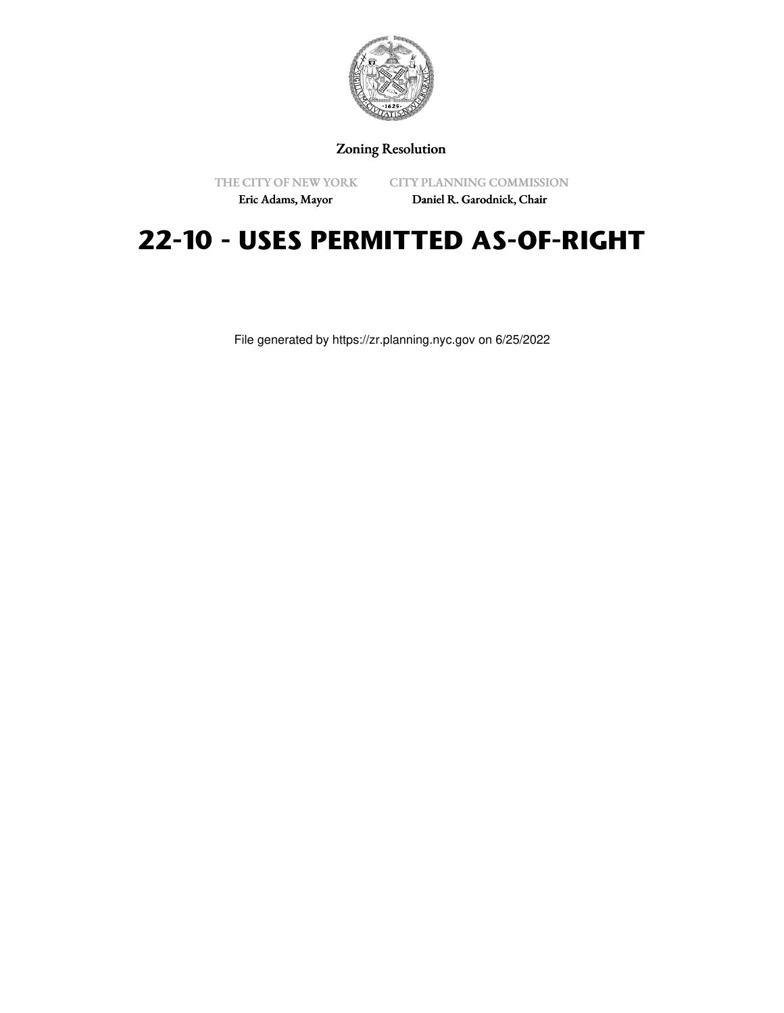

Zoning Resolution

THE CITY OF NEW YORK

CITY PLANNING COMMISSION

Eric Adams, Mayor

Daniel R. Garodnick, Chair

# **22-10 - USES PERMITTED AS-OF-RIGHT**

File generated by https://zr.planning.nyc.gov on 6/25/2022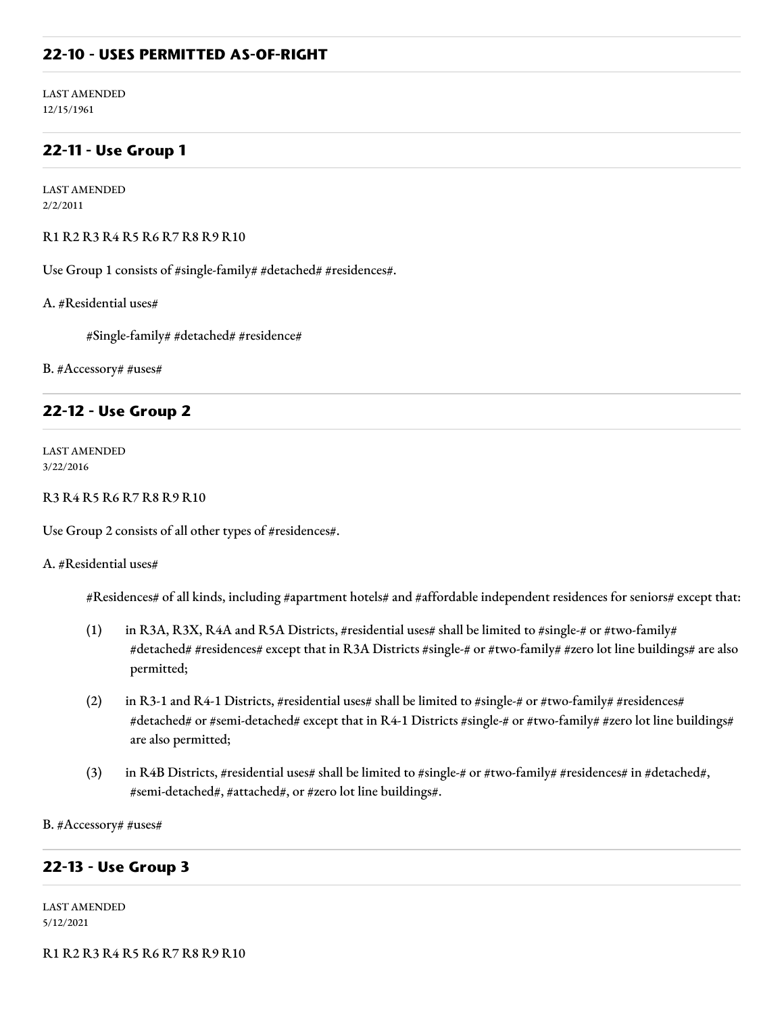#### **22-10 - USES PERMITTED AS-OF-RIGHT**

LAST AMENDED 12/15/1961

### **22-11 - Use Group 1**

LAST AMENDED 2/2/2011

R1 R2 R3 R4 R5 R6 R7 R8 R9 R10

Use Group 1 consists of #single-family# #detached# #residences#.

A. #Residential uses#

#Single-family# #detached# #residence#

B. #Accessory# #uses#

#### **22-12 - Use Group 2**

LAST AMENDED 3/22/2016

R3 R4 R5 R6 R7 R8 R9 R10

Use Group 2 consists of all other types of #residences#.

#### A. #Residential uses#

#Residences# of all kinds, including #apartment hotels# and #affordable independent residences for seniors# except that:

- (1) in R3A, R3X, R4A and R5A Districts, #residential uses# shall be limited to #single-# or #two-family# #detached# #residences# except that in R3A Districts #single-# or #two-family# #zero lot line buildings# are also permitted;
- (2) in R3-1 and R4-1 Districts, #residential uses# shall be limited to #single-# or #two-family# #residences# #detached# or #semi-detached# except that in R4-1 Districts #single-# or #two-family# #zero lot line buildings# are also permitted;
- (3) in R4B Districts, #residential uses# shall be limited to #single-# or #two-family# #residences# in #detached#, #semi-detached#, #attached#, or #zero lot line buildings#.

B. #Accessory# #uses#

#### **22-13 - Use Group 3**

LAST AMENDED 5/12/2021

R1 R2 R3 R4 R5 R6 R7 R8 R9 R10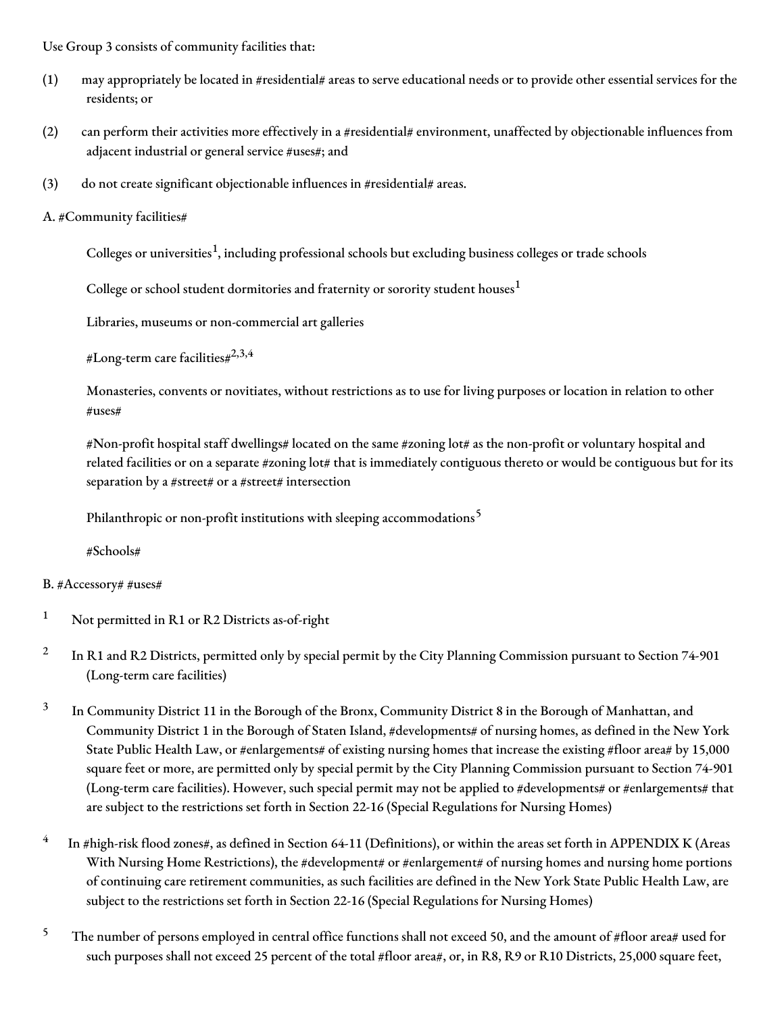Use Group 3 consists of community facilities that:

- (1) may appropriately be located in #residential# areas to serve educational needs or to provide other essential services for the residents; or
- (2) can perform their activities more effectively in a #residential# environment, unaffected by objectionable influences from adjacent industrial or general service #uses#; and
- (3) do not create significant objectionable influences in #residential# areas.
- A. #Community facilities#

Colleges or universities<sup>1</sup>, including professional schools but excluding business colleges or trade schools

College or school student dormitories and fraternity or sorority student houses $^{\rm 1}$ 

Libraries, museums or non-commercial art galleries

#Long-term care facilities# $^{2,3,4}$ 

Monasteries, convents or novitiates, without restrictions as to use for living purposes or location in relation to other #uses#

#Non-profit hospital staff dwellings# located on the same #zoning lot# as the non-profit or voluntary hospital and related facilities or on a separate #zoning lot# that is immediately contiguous thereto or would be contiguous but for its separation by a #street# or a #street# intersection

Philanthropic or non-profit institutions with sleeping accommodations<sup>5</sup>

#Schools#

#### B. #Accessory# #uses#

- <sup>1</sup> Not permitted in R1 or R2 Districts as-of-right
- 2 In R1 and R2 Districts, permitted only by special permit by the City Planning Commission pursuant to Section 74-901 (Long-term care facilities)
- 3 In Community District 11 in the Borough of the Bronx, Community District 8 in the Borough of Manhattan, and Community District 1 in the Borough of Staten Island, #developments# of nursing homes, as defined in the New York State Public Health Law, or #enlargements# of existing nursing homes that increase the existing #floor area# by 15,000 square feet or more, are permitted only by special permit by the City Planning Commission pursuant to Section 74-901 (Long-term care facilities). However, such special permit may not be applied to #developments# or #enlargements# that are subject to the restrictions set forth in Section 22-16 (Special Regulations for Nursing Homes)
- 4 In #high-risk flood zones#, as defined in Section 64-11 (Definitions), or within the areas set forth in APPENDIX K (Areas With Nursing Home Restrictions), the #development# or #enlargement# of nursing homes and nursing home portions of continuing care retirement communities, as such facilities are defined in the New York State Public Health Law, are subject to the restrictions set forth in Section 22-16 (Special Regulations for Nursing Homes)
- <sup>5</sup> The number of persons employed in central office functions shall not exceed 50, and the amount of #floor area# used for such purposes shall not exceed 25 percent of the total #floor area#, or, in R8, R9 or R10 Districts, 25,000 square feet,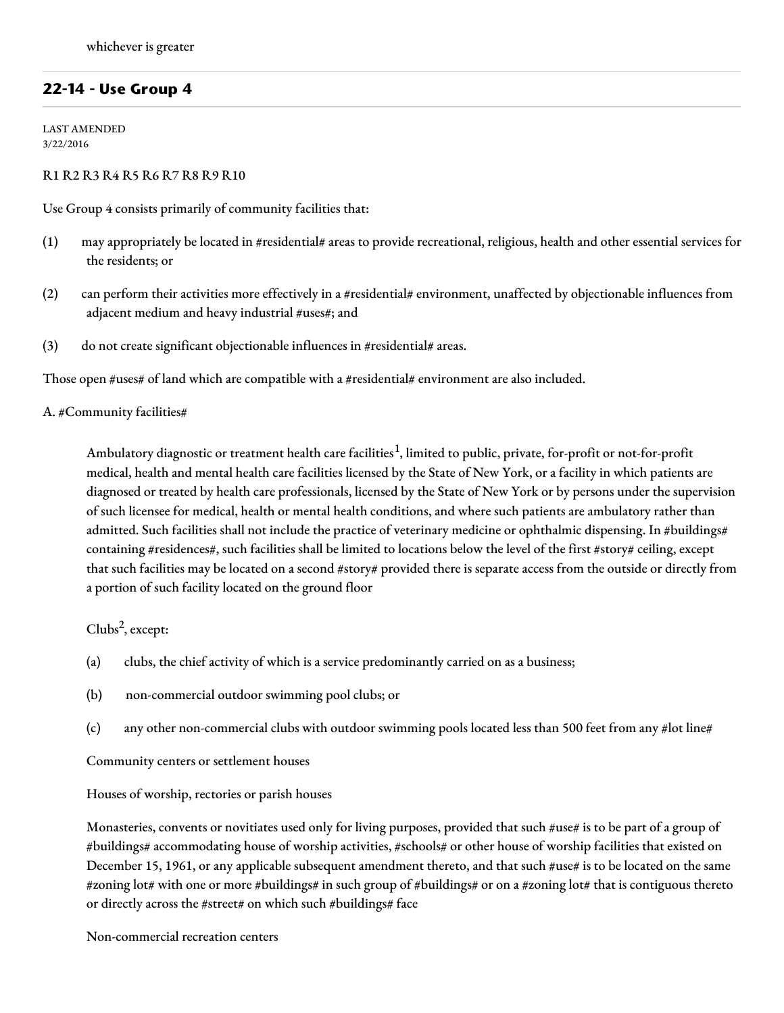## **22-14 - Use Group 4**

LAST AMENDED 3/22/2016

#### R1 R2 R3 R4 R5 R6 R7 R8 R9 R10

Use Group 4 consists primarily of community facilities that:

- (1) may appropriately be located in #residential# areas to provide recreational, religious, health and other essential services for the residents; or
- (2) can perform their activities more effectively in a #residential# environment, unaffected by objectionable influences from adjacent medium and heavy industrial #uses#; and
- (3) do not create significant objectionable influences in #residential# areas.

Those open #uses# of land which are compatible with a #residential# environment are also included.

#### A. #Community facilities#

Ambulatory diagnostic or treatment health care facilities<sup>1</sup>, limited to public, private, for-profit or not-for-profit medical, health and mental health care facilities licensed by the State of New York, or a facility in which patients are diagnosed or treated by health care professionals, licensed by the State of New York or by persons under the supervision of such licensee for medical, health or mental health conditions, and where such patients are ambulatory rather than admitted. Such facilities shall not include the practice of veterinary medicine or ophthalmic dispensing. In #buildings# containing #residences#, such facilities shall be limited to locations below the level of the first #story# ceiling, except that such facilities may be located on a second #story# provided there is separate access from the outside or directly from a portion of such facility located on the ground floor

Clubs 2 , except:

- (a) clubs, the chief activity of which is a service predominantly carried on as a business;
- (b) non-commercial outdoor swimming pool clubs; or
- (c) any other non-commercial clubs with outdoor swimming pools located less than 500 feet from any #lot line#

Community centers or settlement houses

#### Houses of worship, rectories or parish houses

Monasteries, convents or novitiates used only for living purposes, provided that such #use# is to be part of a group of #buildings# accommodating house of worship activities, #schools# or other house of worship facilities that existed on December 15, 1961, or any applicable subsequent amendment thereto, and that such #use# is to be located on the same #zoning lot# with one or more #buildings# in such group of #buildings# or on a #zoning lot# that is contiguous thereto or directly across the #street# on which such #buildings# face

Non-commercial recreation centers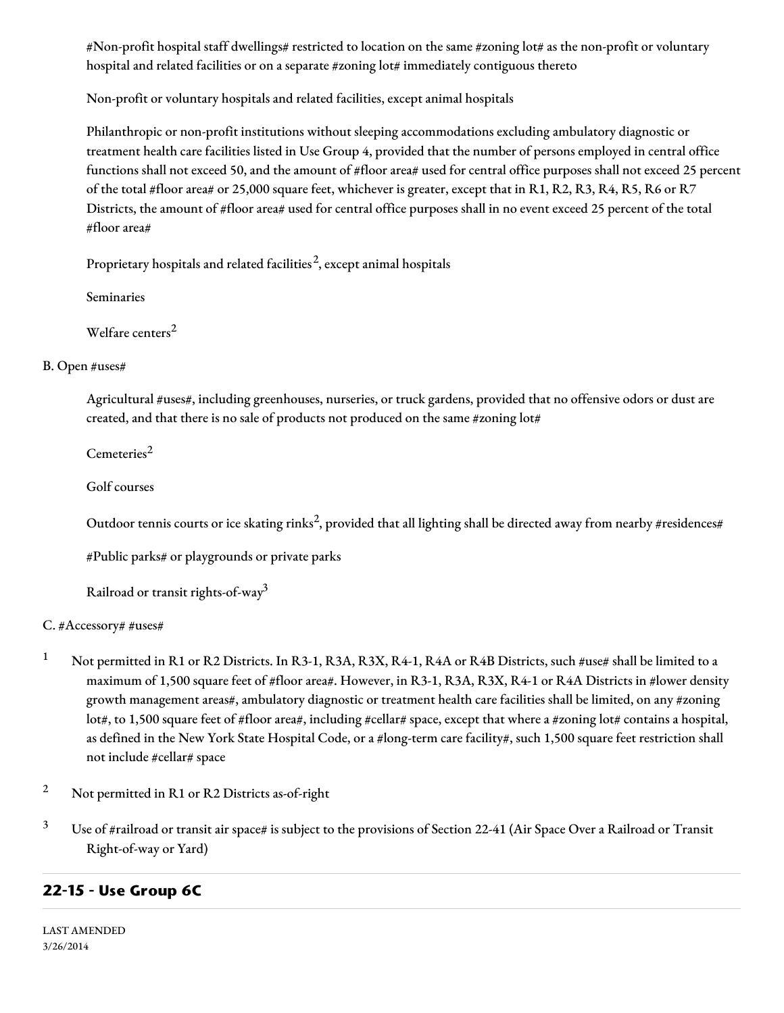#Non-profit hospital staff dwellings# restricted to location on the same #zoning lot# as the non-profit or voluntary hospital and related facilities or on a separate #zoning lot# immediately contiguous thereto

Non-profit or voluntary hospitals and related facilities, except animal hospitals

Philanthropic or non-profit institutions without sleeping accommodations excluding ambulatory diagnostic or treatment health care facilities listed in Use Group 4, provided that the number of persons employed in central office functions shall not exceed 50, and the amount of #floor area# used for central office purposes shall not exceed 25 percent of the total #floor area# or 25,000 square feet, whichever is greater, except that in R1, R2, R3, R4, R5, R6 or R7 Districts, the amount of #floor area# used for central office purposes shall in no event exceed 25 percent of the total #floor area#

Proprietary hospitals and related facilities $^2$ , except animal hospitals

Seminaries

Welfare centers 2

## B. Open #uses#

Agricultural #uses#, including greenhouses, nurseries, or truck gardens, provided that no offensive odors or dust are created, and that there is no sale of products not produced on the same #zoning lot#

Cemeteries 2

Golf courses

Outdoor tennis courts or ice skating rinks<sup>2</sup>, provided that all lighting shall be directed away from nearby #residences#

#Public parks# or playgrounds or private parks

Railroad or transit rights-of-way $^3$ 

## C. #Accessory# #uses#

- <sup>1</sup> Not permitted in R1 or R2 Districts. In R3-1, R3A, R3X, R4-1, R4A or R4B Districts, such #use# shall be limited to a maximum of 1,500 square feet of #floor area#. However, in R3-1, R3A, R3X, R4-1 or R4A Districts in #lower density growth management areas#, ambulatory diagnostic or treatment health care facilities shall be limited, on any #zoning lot#, to 1,500 square feet of #floor area#, including #cellar# space, except that where a #zoning lot# contains a hospital, as defined in the New York State Hospital Code, or a #long-term care facility#, such 1,500 square feet restriction shall not include #cellar# space
- <sup>2</sup> Not permitted in R1 or R2 Districts as-of-right
- <sup>3</sup> Use of #railroad or transit air space# is subject to the provisions of Section 22-41 (Air Space Over a Railroad or Transit Right-of-way or Yard)

## **22-15 - Use Group 6C**